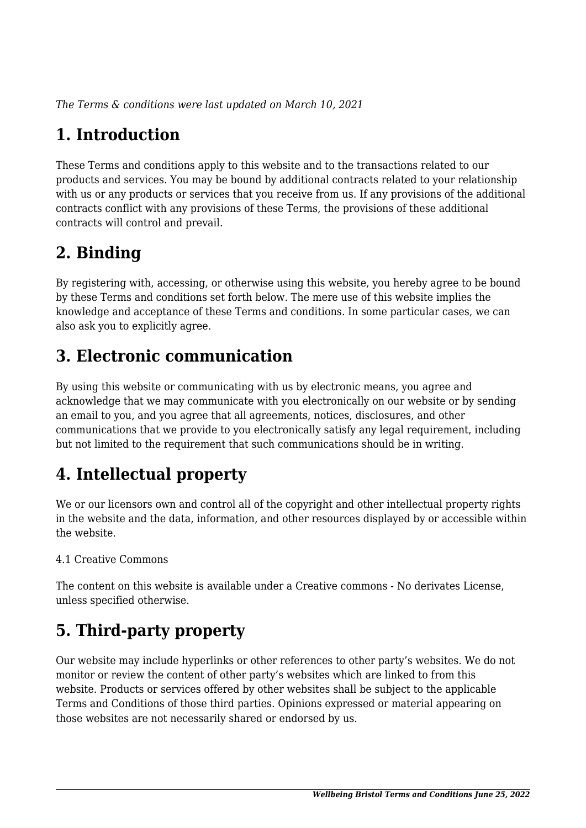*The Terms & conditions were last updated on March 10, 2021*

# **1. Introduction**

These Terms and conditions apply to this website and to the transactions related to our products and services. You may be bound by additional contracts related to your relationship with us or any products or services that you receive from us. If any provisions of the additional contracts conflict with any provisions of these Terms, the provisions of these additional contracts will control and prevail.

## **2. Binding**

By registering with, accessing, or otherwise using this website, you hereby agree to be bound by these Terms and conditions set forth below. The mere use of this website implies the knowledge and acceptance of these Terms and conditions. In some particular cases, we can also ask you to explicitly agree.

## **3. Electronic communication**

By using this website or communicating with us by electronic means, you agree and acknowledge that we may communicate with you electronically on our website or by sending an email to you, and you agree that all agreements, notices, disclosures, and other communications that we provide to you electronically satisfy any legal requirement, including but not limited to the requirement that such communications should be in writing.

# **4. Intellectual property**

We or our licensors own and control all of the copyright and other intellectual property rights in the website and the data, information, and other resources displayed by or accessible within the website.

#### 4.1 Creative Commons

The content on this website is available under a Creative commons - No derivates License, unless specified otherwise.

# **5. Third-party property**

Our website may include hyperlinks or other references to other party's websites. We do not monitor or review the content of other party's websites which are linked to from this website. Products or services offered by other websites shall be subject to the applicable Terms and Conditions of those third parties. Opinions expressed or material appearing on those websites are not necessarily shared or endorsed by us.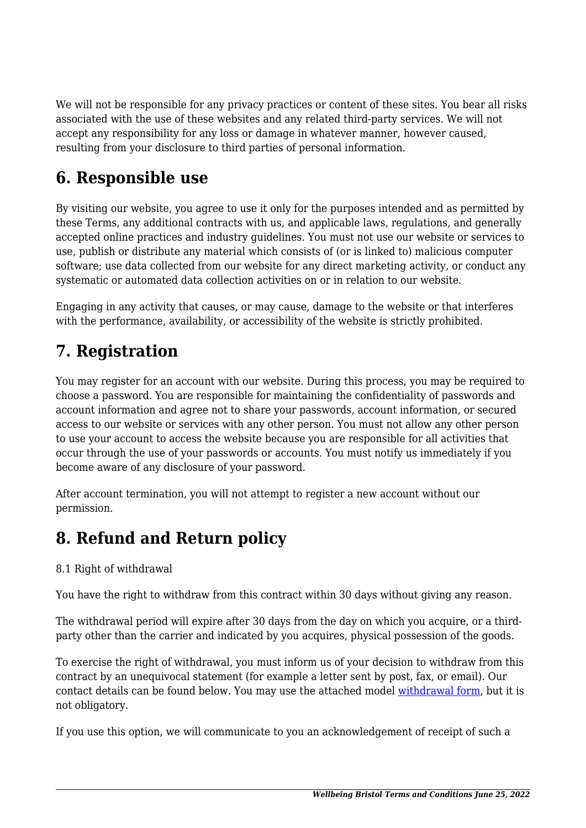We will not be responsible for any privacy practices or content of these sites. You bear all risks associated with the use of these websites and any related third-party services. We will not accept any responsibility for any loss or damage in whatever manner, however caused, resulting from your disclosure to third parties of personal information.

#### **6. Responsible use**

By visiting our website, you agree to use it only for the purposes intended and as permitted by these Terms, any additional contracts with us, and applicable laws, regulations, and generally accepted online practices and industry guidelines. You must not use our website or services to use, publish or distribute any material which consists of (or is linked to) malicious computer software; use data collected from our website for any direct marketing activity, or conduct any systematic or automated data collection activities on or in relation to our website.

Engaging in any activity that causes, or may cause, damage to the website or that interferes with the performance, availability, or accessibility of the website is strictly prohibited.

#### **7. Registration**

You may register for an account with our website. During this process, you may be required to choose a password. You are responsible for maintaining the confidentiality of passwords and account information and agree not to share your passwords, account information, or secured access to our website or services with any other person. You must not allow any other person to use your account to access the website because you are responsible for all activities that occur through the use of your passwords or accounts. You must notify us immediately if you become aware of any disclosure of your password.

After account termination, you will not attempt to register a new account without our permission.

## **8. Refund and Return policy**

#### 8.1 Right of withdrawal

You have the right to withdraw from this contract within 30 days without giving any reason.

The withdrawal period will expire after 30 days from the day on which you acquire, or a thirdparty other than the carrier and indicated by you acquires, physical possession of the goods.

To exercise the right of withdrawal, you must inform us of your decision to withdraw from this contract by an unequivocal statement (for example a letter sent by post, fax, or email). Our contact details can be found below. You may use the attached model [withdrawal form](https://www.wellbeingbristol.co.uk/wp-content/uploads/complianz/withdrawal-forms/withdrawal-form-en.pdf), but it is not obligatory.

If you use this option, we will communicate to you an acknowledgement of receipt of such a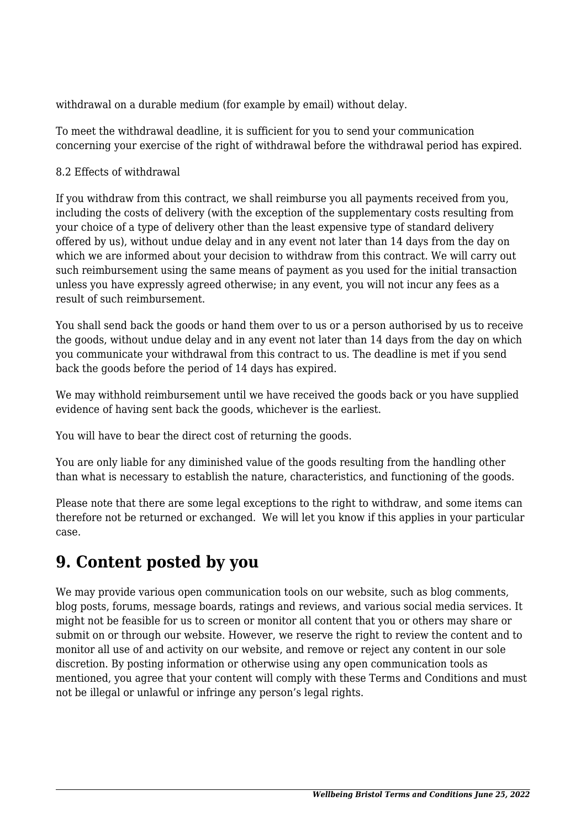withdrawal on a durable medium (for example by email) without delay.

To meet the withdrawal deadline, it is sufficient for you to send your communication concerning your exercise of the right of withdrawal before the withdrawal period has expired.

#### 8.2 Effects of withdrawal

If you withdraw from this contract, we shall reimburse you all payments received from you, including the costs of delivery (with the exception of the supplementary costs resulting from your choice of a type of delivery other than the least expensive type of standard delivery offered by us), without undue delay and in any event not later than 14 days from the day on which we are informed about your decision to withdraw from this contract. We will carry out such reimbursement using the same means of payment as you used for the initial transaction unless you have expressly agreed otherwise; in any event, you will not incur any fees as a result of such reimbursement.

You shall send back the goods or hand them over to us or a person authorised by us to receive the goods, without undue delay and in any event not later than 14 days from the day on which you communicate your withdrawal from this contract to us. The deadline is met if you send back the goods before the period of 14 days has expired.

We may withhold reimbursement until we have received the goods back or you have supplied evidence of having sent back the goods, whichever is the earliest.

You will have to bear the direct cost of returning the goods.

You are only liable for any diminished value of the goods resulting from the handling other than what is necessary to establish the nature, characteristics, and functioning of the goods.

Please note that there are some legal exceptions to the right to withdraw, and some items can therefore not be returned or exchanged. We will let you know if this applies in your particular case.

## **9. Content posted by you**

We may provide various open communication tools on our website, such as blog comments, blog posts, forums, message boards, ratings and reviews, and various social media services. It might not be feasible for us to screen or monitor all content that you or others may share or submit on or through our website. However, we reserve the right to review the content and to monitor all use of and activity on our website, and remove or reject any content in our sole discretion. By posting information or otherwise using any open communication tools as mentioned, you agree that your content will comply with these Terms and Conditions and must not be illegal or unlawful or infringe any person's legal rights.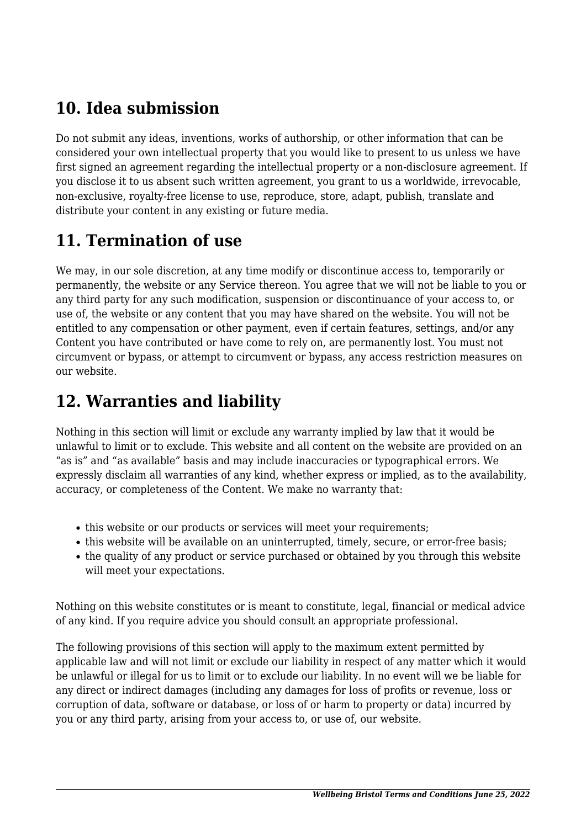## **10. Idea submission**

Do not submit any ideas, inventions, works of authorship, or other information that can be considered your own intellectual property that you would like to present to us unless we have first signed an agreement regarding the intellectual property or a non-disclosure agreement. If you disclose it to us absent such written agreement, you grant to us a worldwide, irrevocable, non-exclusive, royalty-free license to use, reproduce, store, adapt, publish, translate and distribute your content in any existing or future media.

## **11. Termination of use**

We may, in our sole discretion, at any time modify or discontinue access to, temporarily or permanently, the website or any Service thereon. You agree that we will not be liable to you or any third party for any such modification, suspension or discontinuance of your access to, or use of, the website or any content that you may have shared on the website. You will not be entitled to any compensation or other payment, even if certain features, settings, and/or any Content you have contributed or have come to rely on, are permanently lost. You must not circumvent or bypass, or attempt to circumvent or bypass, any access restriction measures on our website.

#### **12. Warranties and liability**

Nothing in this section will limit or exclude any warranty implied by law that it would be unlawful to limit or to exclude. This website and all content on the website are provided on an "as is" and "as available" basis and may include inaccuracies or typographical errors. We expressly disclaim all warranties of any kind, whether express or implied, as to the availability, accuracy, or completeness of the Content. We make no warranty that:

- this website or our products or services will meet your requirements;
- this website will be available on an uninterrupted, timely, secure, or error-free basis;
- the quality of any product or service purchased or obtained by you through this website will meet your expectations.

Nothing on this website constitutes or is meant to constitute, legal, financial or medical advice of any kind. If you require advice you should consult an appropriate professional.

The following provisions of this section will apply to the maximum extent permitted by applicable law and will not limit or exclude our liability in respect of any matter which it would be unlawful or illegal for us to limit or to exclude our liability. In no event will we be liable for any direct or indirect damages (including any damages for loss of profits or revenue, loss or corruption of data, software or database, or loss of or harm to property or data) incurred by you or any third party, arising from your access to, or use of, our website.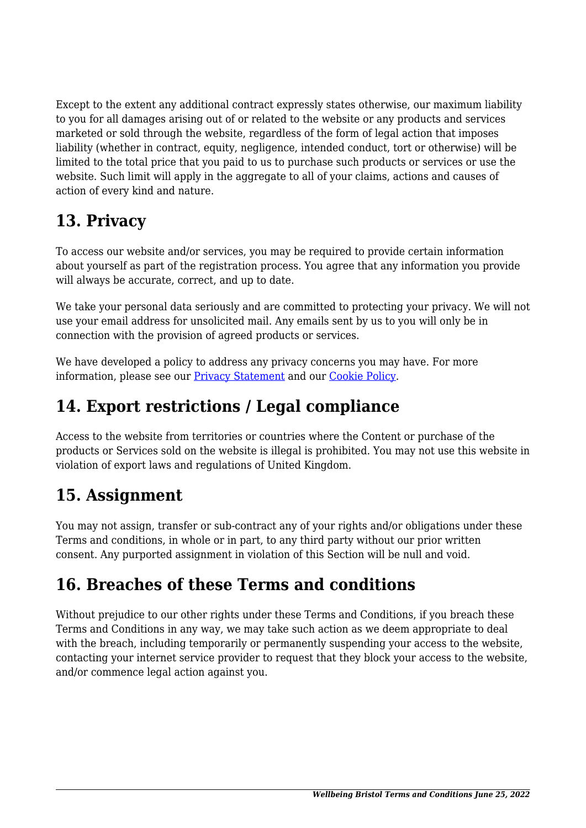Except to the extent any additional contract expressly states otherwise, our maximum liability to you for all damages arising out of or related to the website or any products and services marketed or sold through the website, regardless of the form of legal action that imposes liability (whether in contract, equity, negligence, intended conduct, tort or otherwise) will be limited to the total price that you paid to us to purchase such products or services or use the website. Such limit will apply in the aggregate to all of your claims, actions and causes of action of every kind and nature.

## **13. Privacy**

To access our website and/or services, you may be required to provide certain information about yourself as part of the registration process. You agree that any information you provide will always be accurate, correct, and up to date.

We take your personal data seriously and are committed to protecting your privacy. We will not use your email address for unsolicited mail. Any emails sent by us to you will only be in connection with the provision of agreed products or services.

We have developed a policy to address any privacy concerns you may have. For more information, please see our [Privacy Statement](https://www.wellbeingbristol.co.uk/privacy-policy/) and our [Cookie Policy](https://www.wellbeingbristol.co.uk/cookie-policy-uk/).

## **14. Export restrictions / Legal compliance**

Access to the website from territories or countries where the Content or purchase of the products or Services sold on the website is illegal is prohibited. You may not use this website in violation of export laws and regulations of United Kingdom.

## **15. Assignment**

You may not assign, transfer or sub-contract any of your rights and/or obligations under these Terms and conditions, in whole or in part, to any third party without our prior written consent. Any purported assignment in violation of this Section will be null and void.

## **16. Breaches of these Terms and conditions**

Without prejudice to our other rights under these Terms and Conditions, if you breach these Terms and Conditions in any way, we may take such action as we deem appropriate to deal with the breach, including temporarily or permanently suspending your access to the website, contacting your internet service provider to request that they block your access to the website, and/or commence legal action against you.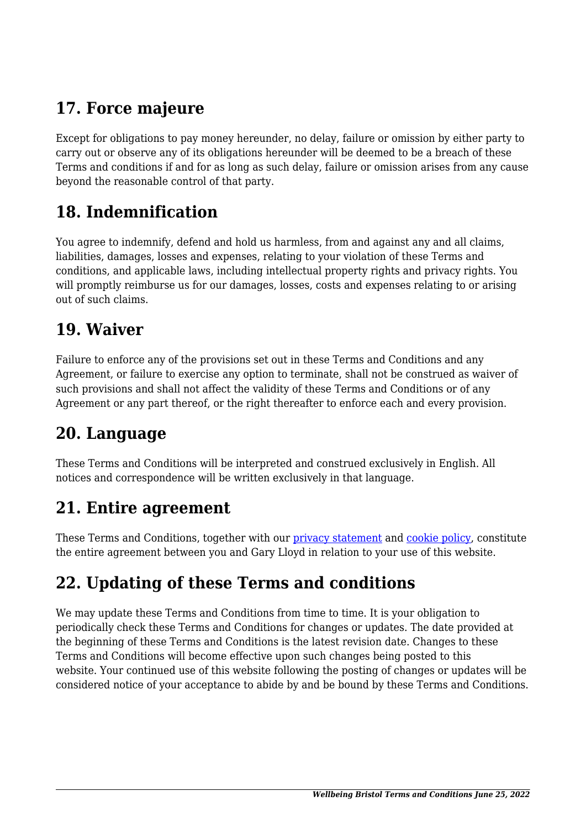## **17. Force majeure**

Except for obligations to pay money hereunder, no delay, failure or omission by either party to carry out or observe any of its obligations hereunder will be deemed to be a breach of these Terms and conditions if and for as long as such delay, failure or omission arises from any cause beyond the reasonable control of that party.

#### **18. Indemnification**

You agree to indemnify, defend and hold us harmless, from and against any and all claims, liabilities, damages, losses and expenses, relating to your violation of these Terms and conditions, and applicable laws, including intellectual property rights and privacy rights. You will promptly reimburse us for our damages, losses, costs and expenses relating to or arising out of such claims.

#### **19. Waiver**

Failure to enforce any of the provisions set out in these Terms and Conditions and any Agreement, or failure to exercise any option to terminate, shall not be construed as waiver of such provisions and shall not affect the validity of these Terms and Conditions or of any Agreement or any part thereof, or the right thereafter to enforce each and every provision.

#### **20. Language**

These Terms and Conditions will be interpreted and construed exclusively in English. All notices and correspondence will be written exclusively in that language.

#### **21. Entire agreement**

These Terms and Conditions, together with our [privacy statement](https://www.wellbeingbristol.co.uk/privacy-policy/) and [cookie policy,](https://www.wellbeingbristol.co.uk/cookie-policy-uk/) constitute the entire agreement between you and Gary Lloyd in relation to your use of this website.

# **22. Updating of these Terms and conditions**

We may update these Terms and Conditions from time to time. It is your obligation to periodically check these Terms and Conditions for changes or updates. The date provided at the beginning of these Terms and Conditions is the latest revision date. Changes to these Terms and Conditions will become effective upon such changes being posted to this website. Your continued use of this website following the posting of changes or updates will be considered notice of your acceptance to abide by and be bound by these Terms and Conditions.